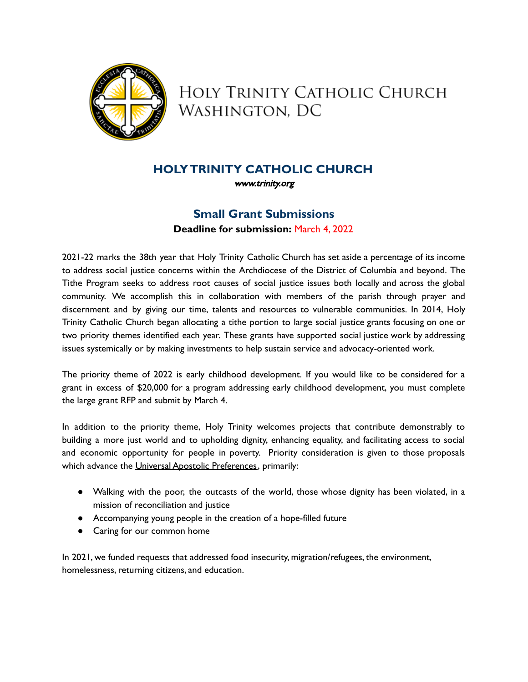

HOLY TRINITY CATHOLIC CHURCH WASHINGTON, DC

## **HOLYTRINITY CATHOLIC CHURCH**

[www.trinity.org](http://www.trinity.org)

# **Small Grant Submissions Deadline for submission:** March 4, 2022

2021-22 marks the 38th year that Holy Trinity Catholic Church has set aside a percentage of its income to address social justice concerns within the Archdiocese of the District of Columbia and beyond. The Tithe Program seeks to address root causes of social justice issues both locally and across the global community. We accomplish this in collaboration with members of the parish through prayer and discernment and by giving our time, talents and resources to vulnerable communities. In 2014, Holy Trinity Catholic Church began allocating a tithe portion to large social justice grants focusing on one or two priority themes identified each year. These grants have supported social justice work by addressing issues systemically or by making investments to help sustain service and advocacy-oriented work.

The priority theme of 2022 is early childhood development. If you would like to be considered for a grant in excess of \$20,000 for a program addressing early childhood development, you must complete the large grant RFP and submit by March 4.

In addition to the priority theme, Holy Trinity welcomes projects that contribute demonstrably to building a more just world and to upholding dignity, enhancing equality, and facilitating access to social and economic opportunity for people in poverty. Priority consideration is given to those proposals which advance the Universal Apostolic [Preferences](https://www.seattleu.edu/media/center-for-jesuit-education-/Fr_Sosa_Letter_UAP.pdf), primarily:

- Walking with the poor, the outcasts of the world, those whose dignity has been violated, in a mission of reconciliation and justice
- Accompanying young people in the creation of a hope-filled future
- Caring for our common home

In 2021, we funded requests that addressed food insecurity, migration/refugees, the environment, homelessness, returning citizens, and education.